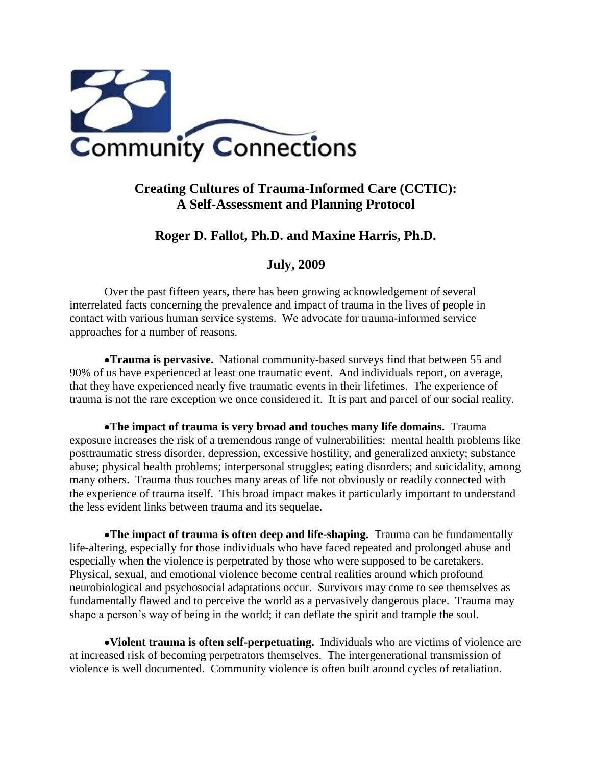

# **Creating Cultures of Trauma-Informed Care (CCTIC): A Self-Assessment and Planning Protocol**

# **Roger D. Fallot, Ph.D. and Maxine Harris, Ph.D.**

# **July, 2009**

Over the past fifteen years, there has been growing acknowledgement of several interrelated facts concerning the prevalence and impact of trauma in the lives of people in contact with various human service systems. We advocate for trauma-informed service approaches for a number of reasons.

**Trauma is pervasive.** National community-based surveys find that between 55 and 90% of us have experienced at least one traumatic event. And individuals report, on average, that they have experienced nearly five traumatic events in their lifetimes. The experience of trauma is not the rare exception we once considered it. It is part and parcel of our social reality.

**The impact of trauma is very broad and touches many life domains.** Trauma exposure increases the risk of a tremendous range of vulnerabilities: mental health problems like posttraumatic stress disorder, depression, excessive hostility, and generalized anxiety; substance abuse; physical health problems; interpersonal struggles; eating disorders; and suicidality, among many others. Trauma thus touches many areas of life not obviously or readily connected with the experience of trauma itself. This broad impact makes it particularly important to understand the less evident links between trauma and its sequelae.

**The impact of trauma is often deep and life-shaping.** Trauma can be fundamentally life-altering, especially for those individuals who have faced repeated and prolonged abuse and especially when the violence is perpetrated by those who were supposed to be caretakers. Physical, sexual, and emotional violence become central realities around which profound neurobiological and psychosocial adaptations occur. Survivors may come to see themselves as fundamentally flawed and to perceive the world as a pervasively dangerous place. Trauma may shape a person's way of being in the world; it can deflate the spirit and trample the soul.

**Violent trauma is often self-perpetuating.** Individuals who are victims of violence are at increased risk of becoming perpetrators themselves. The intergenerational transmission of violence is well documented. Community violence is often built around cycles of retaliation.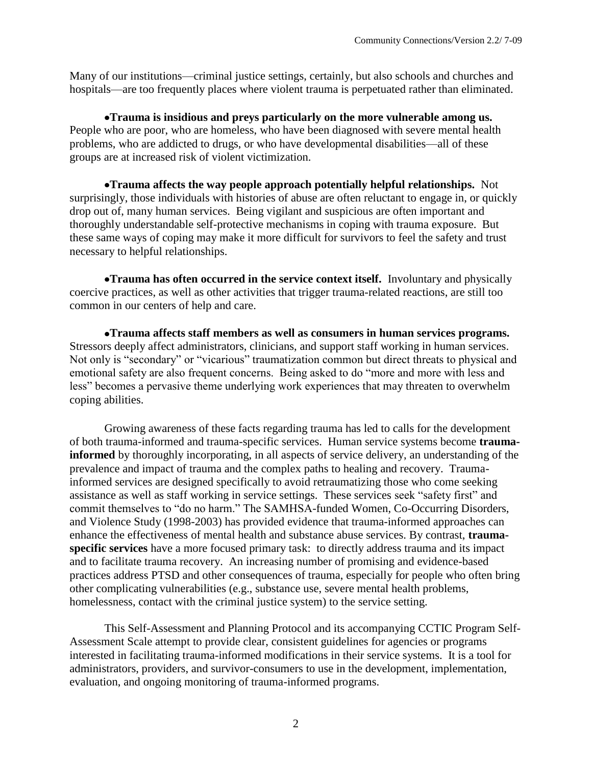Many of our institutions—criminal justice settings, certainly, but also schools and churches and hospitals—are too frequently places where violent trauma is perpetuated rather than eliminated.

**Trauma is insidious and preys particularly on the more vulnerable among us.** People who are poor, who are homeless, who have been diagnosed with severe mental health problems, who are addicted to drugs, or who have developmental disabilities—all of these groups are at increased risk of violent victimization.

**Trauma affects the way people approach potentially helpful relationships.** Not surprisingly, those individuals with histories of abuse are often reluctant to engage in, or quickly drop out of, many human services. Being vigilant and suspicious are often important and thoroughly understandable self-protective mechanisms in coping with trauma exposure. But these same ways of coping may make it more difficult for survivors to feel the safety and trust necessary to helpful relationships.

**Trauma has often occurred in the service context itself.** Involuntary and physically coercive practices, as well as other activities that trigger trauma-related reactions, are still too common in our centers of help and care.

**Trauma affects staff members as well as consumers in human services programs.** Stressors deeply affect administrators, clinicians, and support staff working in human services. Not only is "secondary" or "vicarious" traumatization common but direct threats to physical and emotional safety are also frequent concerns. Being asked to do "more and more with less and less" becomes a pervasive theme underlying work experiences that may threaten to overwhelm coping abilities.

Growing awareness of these facts regarding trauma has led to calls for the development of both trauma-informed and trauma-specific services. Human service systems become **traumainformed** by thoroughly incorporating, in all aspects of service delivery, an understanding of the prevalence and impact of trauma and the complex paths to healing and recovery. Traumainformed services are designed specifically to avoid retraumatizing those who come seeking assistance as well as staff working in service settings. These services seek "safety first" and commit themselves to "do no harm." The SAMHSA-funded Women, Co-Occurring Disorders, and Violence Study (1998-2003) has provided evidence that trauma-informed approaches can enhance the effectiveness of mental health and substance abuse services. By contrast, **traumaspecific services** have a more focused primary task: to directly address trauma and its impact and to facilitate trauma recovery. An increasing number of promising and evidence-based practices address PTSD and other consequences of trauma, especially for people who often bring other complicating vulnerabilities (e.g., substance use, severe mental health problems, homelessness, contact with the criminal justice system) to the service setting.

This Self-Assessment and Planning Protocol and its accompanying CCTIC Program Self-Assessment Scale attempt to provide clear, consistent guidelines for agencies or programs interested in facilitating trauma-informed modifications in their service systems. It is a tool for administrators, providers, and survivor-consumers to use in the development, implementation, evaluation, and ongoing monitoring of trauma-informed programs.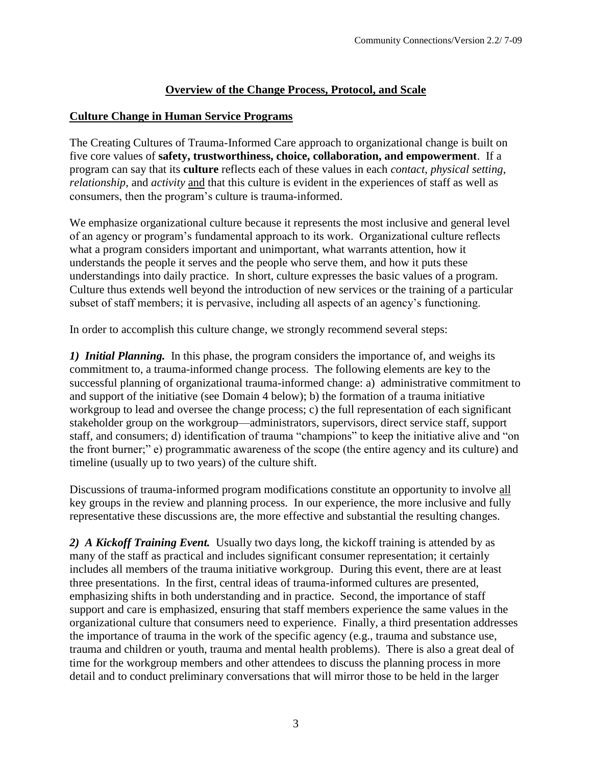### **Overview of the Change Process, Protocol, and Scale**

### **Culture Change in Human Service Programs**

The Creating Cultures of Trauma-Informed Care approach to organizational change is built on five core values of **safety, trustworthiness, choice, collaboration, and empowerment**. If a program can say that its **culture** reflects each of these values in each *contact*, *physical setting*, *relationship*, and *activity* and that this culture is evident in the experiences of staff as well as consumers, then the program's culture is trauma-informed.

We emphasize organizational culture because it represents the most inclusive and general level of an agency or program's fundamental approach to its work. Organizational culture reflects what a program considers important and unimportant, what warrants attention, how it understands the people it serves and the people who serve them, and how it puts these understandings into daily practice. In short, culture expresses the basic values of a program. Culture thus extends well beyond the introduction of new services or the training of a particular subset of staff members; it is pervasive, including all aspects of an agency's functioning.

In order to accomplish this culture change, we strongly recommend several steps:

*1) Initial Planning.* In this phase, the program considers the importance of, and weighs its commitment to, a trauma-informed change process. The following elements are key to the successful planning of organizational trauma-informed change: a) administrative commitment to and support of the initiative (see Domain 4 below); b) the formation of a trauma initiative workgroup to lead and oversee the change process; c) the full representation of each significant stakeholder group on the workgroup—administrators, supervisors, direct service staff, support staff, and consumers; d) identification of trauma "champions" to keep the initiative alive and "on the front burner;" e) programmatic awareness of the scope (the entire agency and its culture) and timeline (usually up to two years) of the culture shift.

Discussions of trauma-informed program modifications constitute an opportunity to involve all key groups in the review and planning process. In our experience, the more inclusive and fully representative these discussions are, the more effective and substantial the resulting changes.

*2) A Kickoff Training Event.* Usually two days long, the kickoff training is attended by as many of the staff as practical and includes significant consumer representation; it certainly includes all members of the trauma initiative workgroup. During this event, there are at least three presentations. In the first, central ideas of trauma-informed cultures are presented, emphasizing shifts in both understanding and in practice. Second, the importance of staff support and care is emphasized, ensuring that staff members experience the same values in the organizational culture that consumers need to experience. Finally, a third presentation addresses the importance of trauma in the work of the specific agency (e.g., trauma and substance use, trauma and children or youth, trauma and mental health problems). There is also a great deal of time for the workgroup members and other attendees to discuss the planning process in more detail and to conduct preliminary conversations that will mirror those to be held in the larger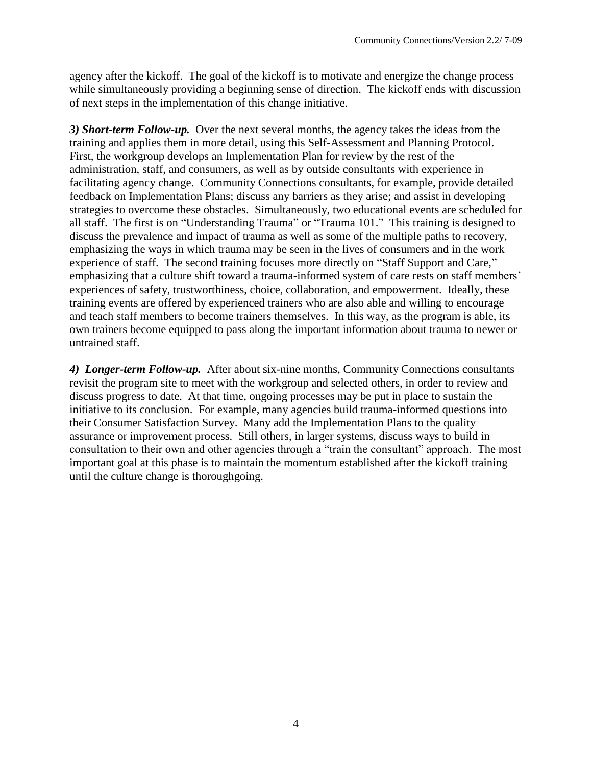agency after the kickoff. The goal of the kickoff is to motivate and energize the change process while simultaneously providing a beginning sense of direction. The kickoff ends with discussion of next steps in the implementation of this change initiative.

*3) Short-term Follow-up.* Over the next several months, the agency takes the ideas from the training and applies them in more detail, using this Self-Assessment and Planning Protocol. First, the workgroup develops an Implementation Plan for review by the rest of the administration, staff, and consumers, as well as by outside consultants with experience in facilitating agency change. Community Connections consultants, for example, provide detailed feedback on Implementation Plans; discuss any barriers as they arise; and assist in developing strategies to overcome these obstacles. Simultaneously, two educational events are scheduled for all staff. The first is on "Understanding Trauma" or "Trauma 101." This training is designed to discuss the prevalence and impact of trauma as well as some of the multiple paths to recovery, emphasizing the ways in which trauma may be seen in the lives of consumers and in the work experience of staff. The second training focuses more directly on "Staff Support and Care," emphasizing that a culture shift toward a trauma-informed system of care rests on staff members' experiences of safety, trustworthiness, choice, collaboration, and empowerment. Ideally, these training events are offered by experienced trainers who are also able and willing to encourage and teach staff members to become trainers themselves. In this way, as the program is able, its own trainers become equipped to pass along the important information about trauma to newer or untrained staff.

*4) Longer-term Follow-up.* After about six-nine months, Community Connections consultants revisit the program site to meet with the workgroup and selected others, in order to review and discuss progress to date. At that time, ongoing processes may be put in place to sustain the initiative to its conclusion. For example, many agencies build trauma-informed questions into their Consumer Satisfaction Survey. Many add the Implementation Plans to the quality assurance or improvement process. Still others, in larger systems, discuss ways to build in consultation to their own and other agencies through a "train the consultant" approach. The most important goal at this phase is to maintain the momentum established after the kickoff training until the culture change is thoroughgoing.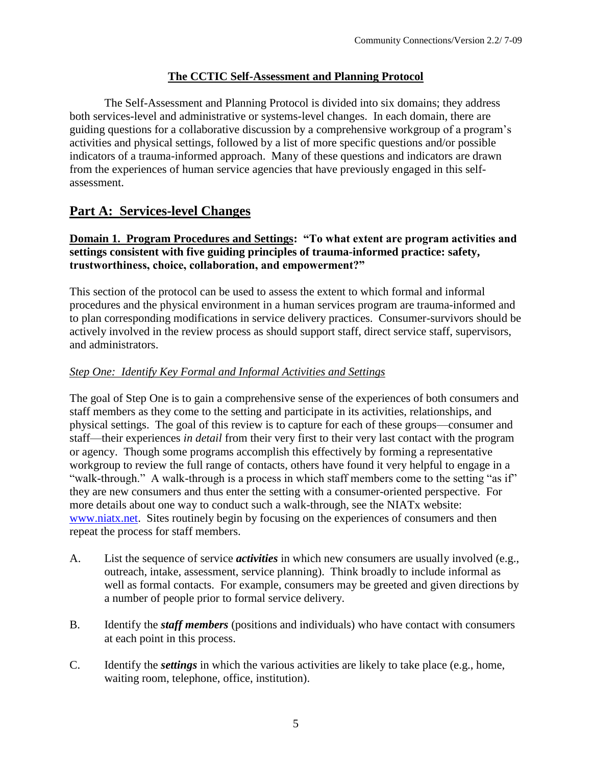## **The CCTIC Self-Assessment and Planning Protocol**

The Self-Assessment and Planning Protocol is divided into six domains; they address both services-level and administrative or systems-level changes. In each domain, there are guiding questions for a collaborative discussion by a comprehensive workgroup of a program's activities and physical settings, followed by a list of more specific questions and/or possible indicators of a trauma-informed approach. Many of these questions and indicators are drawn from the experiences of human service agencies that have previously engaged in this selfassessment.

# **Part A: Services-level Changes**

### **Domain 1. Program Procedures and Settings: "To what extent are program activities and settings consistent with five guiding principles of trauma-informed practice: safety, trustworthiness, choice, collaboration, and empowerment?"**

This section of the protocol can be used to assess the extent to which formal and informal procedures and the physical environment in a human services program are trauma-informed and to plan corresponding modifications in service delivery practices. Consumer-survivors should be actively involved in the review process as should support staff, direct service staff, supervisors, and administrators.

## *Step One: Identify Key Formal and Informal Activities and Settings*

The goal of Step One is to gain a comprehensive sense of the experiences of both consumers and staff members as they come to the setting and participate in its activities, relationships, and physical settings. The goal of this review is to capture for each of these groups—consumer and staff—their experiences *in detail* from their very first to their very last contact with the program or agency. Though some programs accomplish this effectively by forming a representative workgroup to review the full range of contacts, others have found it very helpful to engage in a "walk-through." A walk-through is a process in which staff members come to the setting "as if" they are new consumers and thus enter the setting with a consumer-oriented perspective. For more details about one way to conduct such a walk-through, see the NIATx website: [www.niatx.net.](http://www.niatx.net/) Sites routinely begin by focusing on the experiences of consumers and then repeat the process for staff members.

- A. List the sequence of service *activities* in which new consumers are usually involved (e.g., outreach, intake, assessment, service planning). Think broadly to include informal as well as formal contacts. For example, consumers may be greeted and given directions by a number of people prior to formal service delivery.
- B. Identify the *staff members* (positions and individuals) who have contact with consumers at each point in this process.
- C. Identify the *settings* in which the various activities are likely to take place (e.g., home, waiting room, telephone, office, institution).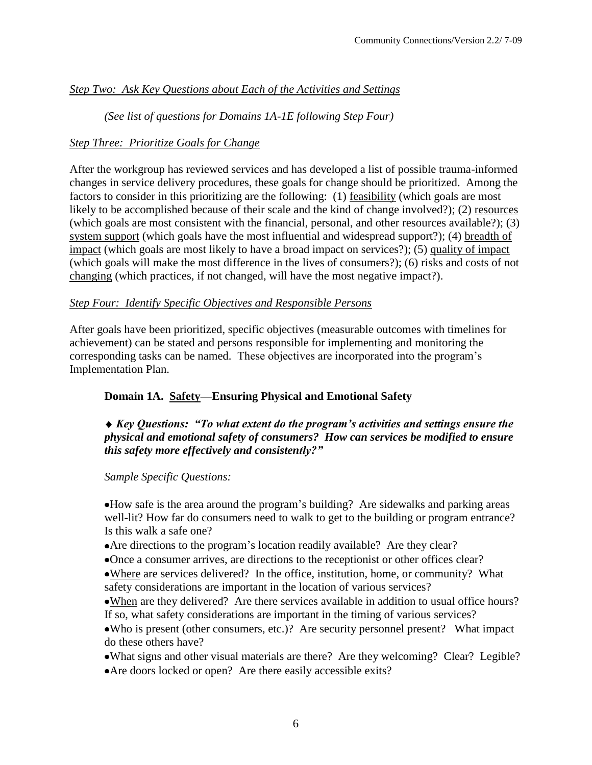# *Step Two: Ask Key Questions about Each of the Activities and Settings*

*(See list of questions for Domains 1A-1E following Step Four)*

### *Step Three: Prioritize Goals for Change*

After the workgroup has reviewed services and has developed a list of possible trauma-informed changes in service delivery procedures, these goals for change should be prioritized. Among the factors to consider in this prioritizing are the following: (1) feasibility (which goals are most likely to be accomplished because of their scale and the kind of change involved?); (2) resources (which goals are most consistent with the financial, personal, and other resources available?); (3) system support (which goals have the most influential and widespread support?); (4) breadth of impact (which goals are most likely to have a broad impact on services?); (5) quality of impact (which goals will make the most difference in the lives of consumers?); (6) risks and costs of not changing (which practices, if not changed, will have the most negative impact?).

### *Step Four: Identify Specific Objectives and Responsible Persons*

After goals have been prioritized, specific objectives (measurable outcomes with timelines for achievement) can be stated and persons responsible for implementing and monitoring the corresponding tasks can be named. These objectives are incorporated into the program's Implementation Plan.

### **Domain 1A. Safety—Ensuring Physical and Emotional Safety**

### *Key Questions: "To what extent do the program's activities and settings ensure the physical and emotional safety of consumers? How can services be modified to ensure this safety more effectively and consistently?"*

#### *Sample Specific Questions:*

How safe is the area around the program's building? Are sidewalks and parking areas well-lit? How far do consumers need to walk to get to the building or program entrance? Is this walk a safe one?

- Are directions to the program's location readily available? Are they clear?
- Once a consumer arrives, are directions to the receptionist or other offices clear?

Where are services delivered? In the office, institution, home, or community? What safety considerations are important in the location of various services?

When are they delivered? Are there services available in addition to usual office hours? If so, what safety considerations are important in the timing of various services?

Who is present (other consumers, etc.)? Are security personnel present? What impact do these others have?

What signs and other visual materials are there? Are they welcoming? Clear? Legible?

Are doors locked or open? Are there easily accessible exits?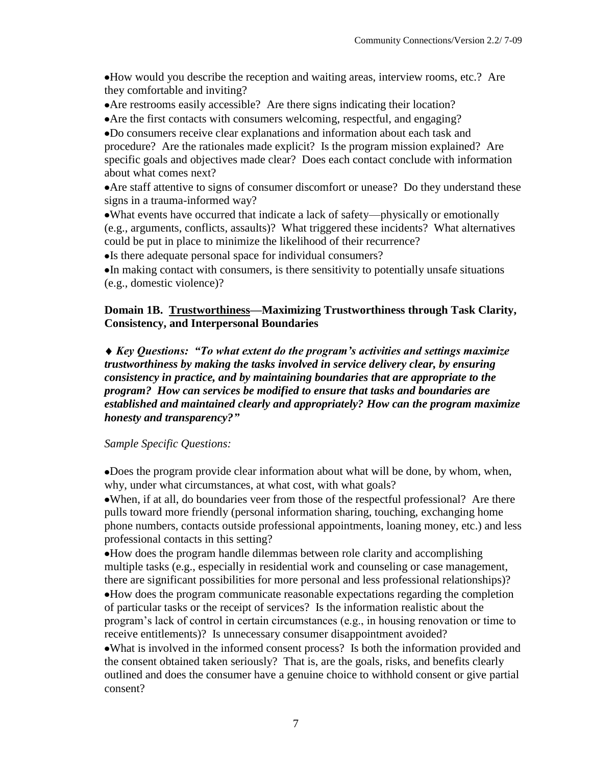How would you describe the reception and waiting areas, interview rooms, etc.? Are they comfortable and inviting?

- Are restrooms easily accessible? Are there signs indicating their location?
- Are the first contacts with consumers welcoming, respectful, and engaging?

Do consumers receive clear explanations and information about each task and procedure? Are the rationales made explicit? Is the program mission explained? Are specific goals and objectives made clear? Does each contact conclude with information about what comes next?

Are staff attentive to signs of consumer discomfort or unease? Do they understand these signs in a trauma-informed way?

What events have occurred that indicate a lack of safety—physically or emotionally (e.g., arguments, conflicts, assaults)? What triggered these incidents? What alternatives could be put in place to minimize the likelihood of their recurrence?

• Is there adequate personal space for individual consumers?

In making contact with consumers, is there sensitivity to potentially unsafe situations (e.g., domestic violence)?

### **Domain 1B. Trustworthiness—Maximizing Trustworthiness through Task Clarity, Consistency, and Interpersonal Boundaries**

*Key Questions: "To what extent do the program's activities and settings maximize trustworthiness by making the tasks involved in service delivery clear, by ensuring consistency in practice, and by maintaining boundaries that are appropriate to the program? How can services be modified to ensure that tasks and boundaries are established and maintained clearly and appropriately? How can the program maximize honesty and transparency?"*

#### *Sample Specific Questions:*

Does the program provide clear information about what will be done, by whom, when, why, under what circumstances, at what cost, with what goals?

When, if at all, do boundaries veer from those of the respectful professional? Are there pulls toward more friendly (personal information sharing, touching, exchanging home phone numbers, contacts outside professional appointments, loaning money, etc.) and less professional contacts in this setting?

How does the program handle dilemmas between role clarity and accomplishing multiple tasks (e.g., especially in residential work and counseling or case management, there are significant possibilities for more personal and less professional relationships)?

How does the program communicate reasonable expectations regarding the completion of particular tasks or the receipt of services? Is the information realistic about the program's lack of control in certain circumstances (e.g., in housing renovation or time to receive entitlements)? Is unnecessary consumer disappointment avoided?

What is involved in the informed consent process? Is both the information provided and the consent obtained taken seriously? That is, are the goals, risks, and benefits clearly outlined and does the consumer have a genuine choice to withhold consent or give partial consent?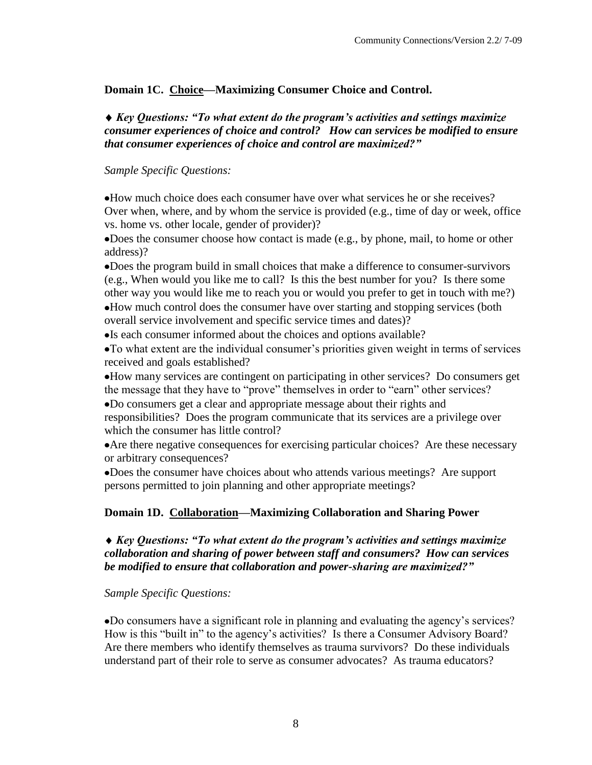### **Domain 1C. Choice—Maximizing Consumer Choice and Control.**

*Key Questions: "To what extent do the program's activities and settings maximize consumer experiences of choice and control? How can services be modified to ensure that consumer experiences of choice and control are maximized?"*

### *Sample Specific Questions:*

How much choice does each consumer have over what services he or she receives? Over when, where, and by whom the service is provided (e.g., time of day or week, office vs. home vs. other locale, gender of provider)?

Does the consumer choose how contact is made (e.g., by phone, mail, to home or other address)?

Does the program build in small choices that make a difference to consumer-survivors (e.g., When would you like me to call? Is this the best number for you? Is there some other way you would like me to reach you or would you prefer to get in touch with me?)

How much control does the consumer have over starting and stopping services (both overall service involvement and specific service times and dates)?

Is each consumer informed about the choices and options available?

To what extent are the individual consumer's priorities given weight in terms of services received and goals established?

How many services are contingent on participating in other services? Do consumers get the message that they have to "prove" themselves in order to "earn" other services?

Do consumers get a clear and appropriate message about their rights and responsibilities? Does the program communicate that its services are a privilege over which the consumer has little control?

Are there negative consequences for exercising particular choices? Are these necessary or arbitrary consequences?

Does the consumer have choices about who attends various meetings? Are support persons permitted to join planning and other appropriate meetings?

### **Domain 1D. Collaboration—Maximizing Collaboration and Sharing Power**

### *Key Questions: "To what extent do the program's activities and settings maximize collaboration and sharing of power between staff and consumers? How can services be modified to ensure that collaboration and power-sharing are maximized?"*

*Sample Specific Questions:*

Do consumers have a significant role in planning and evaluating the agency's services? How is this "built in" to the agency's activities? Is there a Consumer Advisory Board? Are there members who identify themselves as trauma survivors? Do these individuals understand part of their role to serve as consumer advocates? As trauma educators?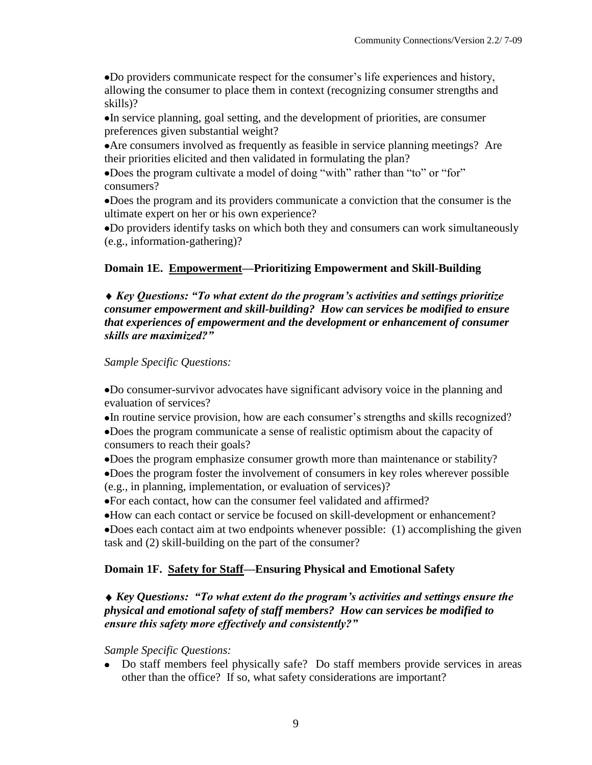Do providers communicate respect for the consumer's life experiences and history, allowing the consumer to place them in context (recognizing consumer strengths and skills)?

In service planning, goal setting, and the development of priorities, are consumer preferences given substantial weight?

Are consumers involved as frequently as feasible in service planning meetings? Are their priorities elicited and then validated in formulating the plan?

Does the program cultivate a model of doing "with" rather than "to" or "for" consumers?

Does the program and its providers communicate a conviction that the consumer is the ultimate expert on her or his own experience?

Do providers identify tasks on which both they and consumers can work simultaneously (e.g., information-gathering)?

### **Domain 1E. Empowerment—Prioritizing Empowerment and Skill-Building**

*Key Questions: "To what extent do the program's activities and settings prioritize consumer empowerment and skill-building? How can services be modified to ensure that experiences of empowerment and the development or enhancement of consumer skills are maximized?"*

### *Sample Specific Questions:*

Do consumer-survivor advocates have significant advisory voice in the planning and evaluation of services?

In routine service provision, how are each consumer's strengths and skills recognized? Does the program communicate a sense of realistic optimism about the capacity of consumers to reach their goals?

Does the program emphasize consumer growth more than maintenance or stability?

Does the program foster the involvement of consumers in key roles wherever possible (e.g., in planning, implementation, or evaluation of services)?

For each contact, how can the consumer feel validated and affirmed?

How can each contact or service be focused on skill-development or enhancement?

Does each contact aim at two endpoints whenever possible: (1) accomplishing the given task and (2) skill-building on the part of the consumer?

### **Domain 1F. Safety for Staff—Ensuring Physical and Emotional Safety**

### *Key Questions: "To what extent do the program's activities and settings ensure the physical and emotional safety of staff members? How can services be modified to ensure this safety more effectively and consistently?"*

*Sample Specific Questions:*

Do staff members feel physically safe? Do staff members provide services in areas other than the office? If so, what safety considerations are important?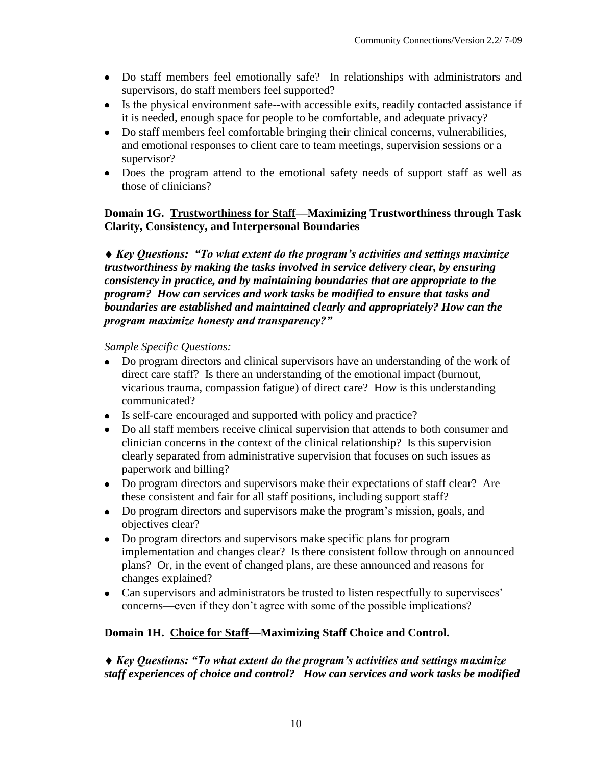- Do staff members feel emotionally safe? In relationships with administrators and supervisors, do staff members feel supported?
- Is the physical environment safe--with accessible exits, readily contacted assistance if it is needed, enough space for people to be comfortable, and adequate privacy?
- Do staff members feel comfortable bringing their clinical concerns, vulnerabilities, and emotional responses to client care to team meetings, supervision sessions or a supervisor?
- Does the program attend to the emotional safety needs of support staff as well as those of clinicians?

## **Domain 1G. Trustworthiness for Staff—Maximizing Trustworthiness through Task Clarity, Consistency, and Interpersonal Boundaries**

*Key Questions: "To what extent do the program's activities and settings maximize trustworthiness by making the tasks involved in service delivery clear, by ensuring consistency in practice, and by maintaining boundaries that are appropriate to the program? How can services and work tasks be modified to ensure that tasks and boundaries are established and maintained clearly and appropriately? How can the program maximize honesty and transparency?"*

*Sample Specific Questions:*

- Do program directors and clinical supervisors have an understanding of the work of direct care staff? Is there an understanding of the emotional impact (burnout, vicarious trauma, compassion fatigue) of direct care? How is this understanding communicated?
- Is self-care encouraged and supported with policy and practice?
- Do all staff members receive clinical supervision that attends to both consumer and clinician concerns in the context of the clinical relationship? Is this supervision clearly separated from administrative supervision that focuses on such issues as paperwork and billing?
- Do program directors and supervisors make their expectations of staff clear? Are these consistent and fair for all staff positions, including support staff?
- Do program directors and supervisors make the program's mission, goals, and objectives clear?
- Do program directors and supervisors make specific plans for program implementation and changes clear? Is there consistent follow through on announced plans? Or, in the event of changed plans, are these announced and reasons for changes explained?
- Can supervisors and administrators be trusted to listen respectfully to supervisees' concerns—even if they don't agree with some of the possible implications?

# **Domain 1H. Choice for Staff—Maximizing Staff Choice and Control.**

## *Key Questions: "To what extent do the program's activities and settings maximize staff experiences of choice and control? How can services and work tasks be modified*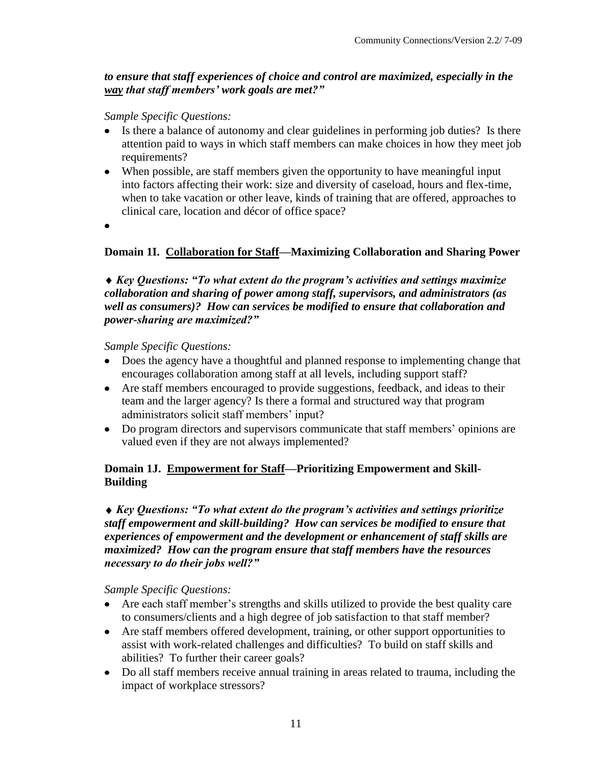### *to ensure that staff experiences of choice and control are maximized, especially in the way that staff members' work goals are met?"*

*Sample Specific Questions:*

- Is there a balance of autonomy and clear guidelines in performing job duties? Is there attention paid to ways in which staff members can make choices in how they meet job requirements?
- When possible, are staff members given the opportunity to have meaningful input into factors affecting their work: size and diversity of caseload, hours and flex-time, when to take vacation or other leave, kinds of training that are offered, approaches to clinical care, location and décor of office space?
- $\bullet$

### **Domain 1I. Collaboration for Staff—Maximizing Collaboration and Sharing Power**

*Key Questions: "To what extent do the program's activities and settings maximize collaboration and sharing of power among staff, supervisors, and administrators (as well as consumers)? How can services be modified to ensure that collaboration and power-sharing are maximized?"*

*Sample Specific Questions:*

- Does the agency have a thoughtful and planned response to implementing change that encourages collaboration among staff at all levels, including support staff?
- Are staff members encouraged to provide suggestions, feedback, and ideas to their team and the larger agency? Is there a formal and structured way that program administrators solicit staff members' input?
- Do program directors and supervisors communicate that staff members' opinions are valued even if they are not always implemented?

### **Domain 1J. Empowerment for Staff—Prioritizing Empowerment and Skill-Building**

### *Key Questions: "To what extent do the program's activities and settings prioritize staff empowerment and skill-building? How can services be modified to ensure that experiences of empowerment and the development or enhancement of staff skills are maximized? How can the program ensure that staff members have the resources necessary to do their jobs well?"*

*Sample Specific Questions:*

- Are each staff member's strengths and skills utilized to provide the best quality care to consumers/clients and a high degree of job satisfaction to that staff member?
- Are staff members offered development, training, or other support opportunities to assist with work-related challenges and difficulties? To build on staff skills and abilities? To further their career goals?
- Do all staff members receive annual training in areas related to trauma, including the impact of workplace stressors?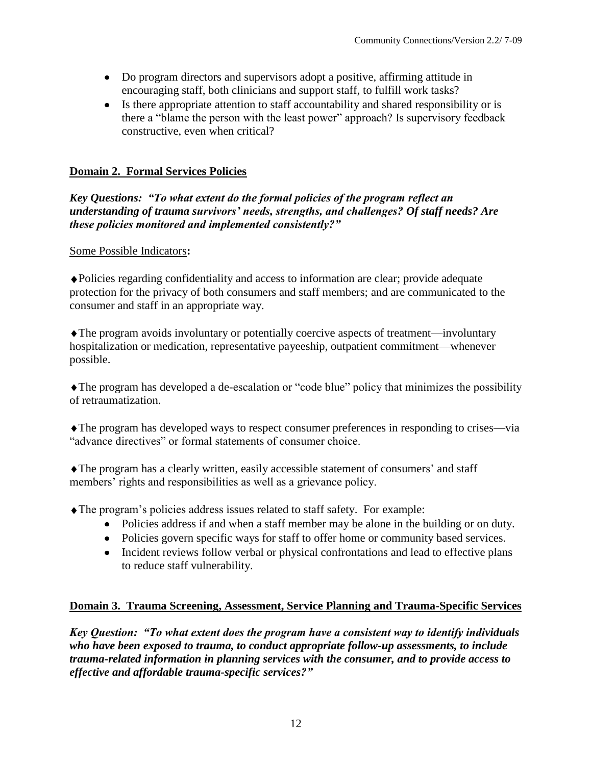- Do program directors and supervisors adopt a positive, affirming attitude in encouraging staff, both clinicians and support staff, to fulfill work tasks?
- Is there appropriate attention to staff accountability and shared responsibility or is there a "blame the person with the least power" approach? Is supervisory feedback constructive, even when critical?

# **Domain 2. Formal Services Policies**

*Key Questions: "To what extent do the formal policies of the program reflect an understanding of trauma survivors' needs, strengths, and challenges? Of staff needs? Are these policies monitored and implemented consistently?"*

# Some Possible Indicators**:**

Policies regarding confidentiality and access to information are clear; provide adequate protection for the privacy of both consumers and staff members; and are communicated to the consumer and staff in an appropriate way.

The program avoids involuntary or potentially coercive aspects of treatment—involuntary hospitalization or medication, representative payeeship, outpatient commitment—whenever possible.

The program has developed a de-escalation or "code blue" policy that minimizes the possibility of retraumatization.

The program has developed ways to respect consumer preferences in responding to crises—via "advance directives" or formal statements of consumer choice.

The program has a clearly written, easily accessible statement of consumers' and staff members' rights and responsibilities as well as a grievance policy.

The program's policies address issues related to staff safety. For example:

- Policies address if and when a staff member may be alone in the building or on duty.
- Policies govern specific ways for staff to offer home or community based services.
- Incident reviews follow verbal or physical confrontations and lead to effective plans to reduce staff vulnerability.

# **Domain 3. Trauma Screening, Assessment, Service Planning and Trauma-Specific Services**

*Key Question: "To what extent does the program have a consistent way to identify individuals who have been exposed to trauma, to conduct appropriate follow-up assessments, to include trauma-related information in planning services with the consumer, and to provide access to effective and affordable trauma-specific services?"*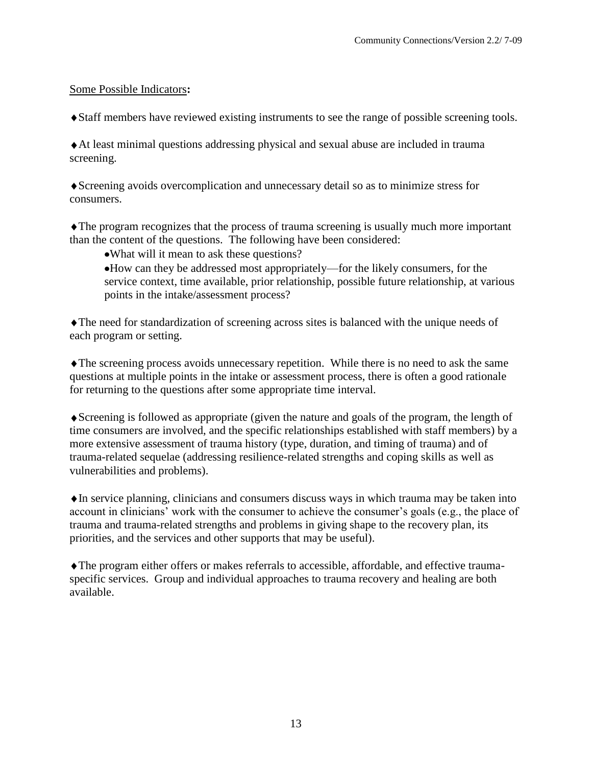#### Some Possible Indicators**:**

Staff members have reviewed existing instruments to see the range of possible screening tools.

At least minimal questions addressing physical and sexual abuse are included in trauma screening.

Screening avoids overcomplication and unnecessary detail so as to minimize stress for consumers.

The program recognizes that the process of trauma screening is usually much more important than the content of the questions. The following have been considered:

What will it mean to ask these questions?

How can they be addressed most appropriately—for the likely consumers, for the service context, time available, prior relationship, possible future relationship, at various points in the intake/assessment process?

The need for standardization of screening across sites is balanced with the unique needs of each program or setting.

The screening process avoids unnecessary repetition. While there is no need to ask the same questions at multiple points in the intake or assessment process, there is often a good rationale for returning to the questions after some appropriate time interval.

Screening is followed as appropriate (given the nature and goals of the program, the length of time consumers are involved, and the specific relationships established with staff members) by a more extensive assessment of trauma history (type, duration, and timing of trauma) and of trauma-related sequelae (addressing resilience-related strengths and coping skills as well as vulnerabilities and problems).

In service planning, clinicians and consumers discuss ways in which trauma may be taken into account in clinicians' work with the consumer to achieve the consumer's goals (e.g., the place of trauma and trauma-related strengths and problems in giving shape to the recovery plan, its priorities, and the services and other supports that may be useful).

The program either offers or makes referrals to accessible, affordable, and effective traumaspecific services. Group and individual approaches to trauma recovery and healing are both available.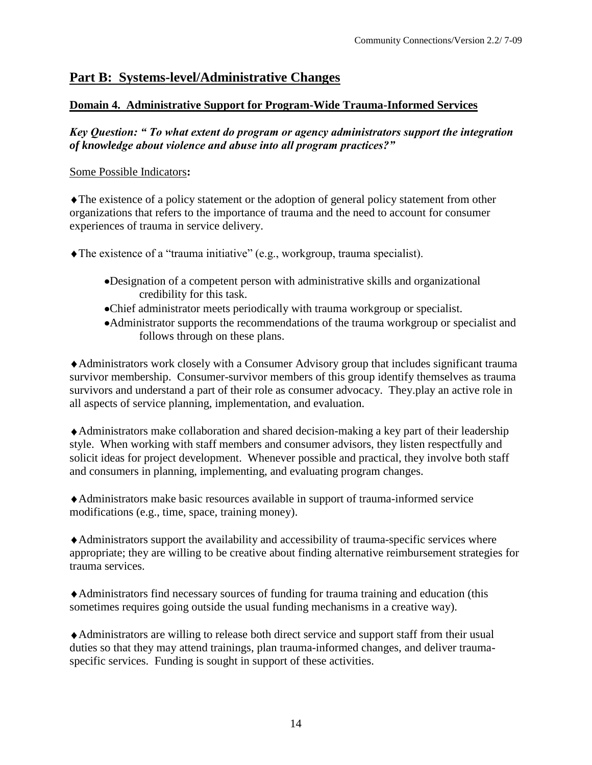# **Part B: Systems-level/Administrative Changes**

### **Domain 4. Administrative Support for Program-Wide Trauma-Informed Services**

*Key Question: " To what extent do program or agency administrators support the integration of knowledge about violence and abuse into all program practices?"*

#### Some Possible Indicators**:**

The existence of a policy statement or the adoption of general policy statement from other organizations that refers to the importance of trauma and the need to account for consumer experiences of trauma in service delivery.

The existence of a "trauma initiative" (e.g., workgroup, trauma specialist).

- Designation of a competent person with administrative skills and organizational credibility for this task.
- Chief administrator meets periodically with trauma workgroup or specialist.
- Administrator supports the recommendations of the trauma workgroup or specialist and follows through on these plans.

Administrators work closely with a Consumer Advisory group that includes significant trauma survivor membership. Consumer-survivor members of this group identify themselves as trauma survivors and understand a part of their role as consumer advocacy. They.play an active role in all aspects of service planning, implementation, and evaluation.

Administrators make collaboration and shared decision-making a key part of their leadership style. When working with staff members and consumer advisors, they listen respectfully and solicit ideas for project development. Whenever possible and practical, they involve both staff and consumers in planning, implementing, and evaluating program changes.

Administrators make basic resources available in support of trauma-informed service modifications (e.g., time, space, training money).

Administrators support the availability and accessibility of trauma-specific services where appropriate; they are willing to be creative about finding alternative reimbursement strategies for trauma services.

Administrators find necessary sources of funding for trauma training and education (this sometimes requires going outside the usual funding mechanisms in a creative way).

Administrators are willing to release both direct service and support staff from their usual duties so that they may attend trainings, plan trauma-informed changes, and deliver traumaspecific services. Funding is sought in support of these activities.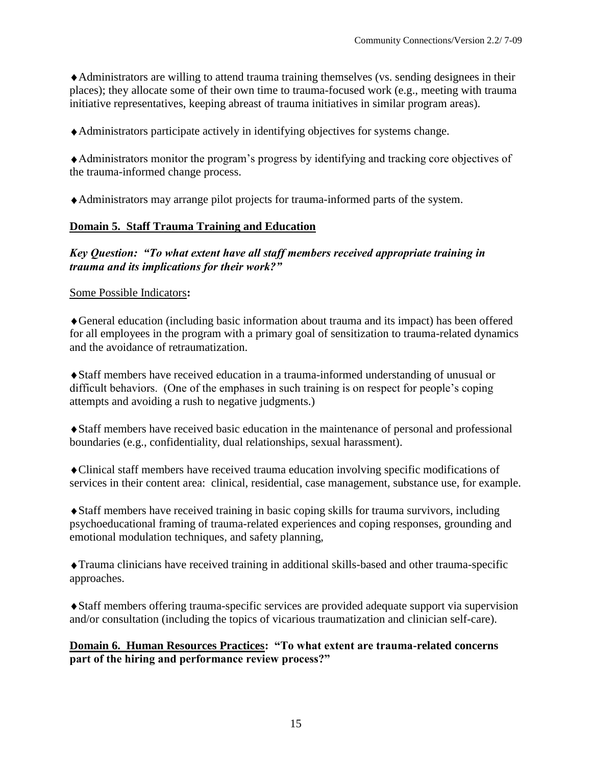Administrators are willing to attend trauma training themselves (vs. sending designees in their places); they allocate some of their own time to trauma-focused work (e.g., meeting with trauma initiative representatives, keeping abreast of trauma initiatives in similar program areas).

Administrators participate actively in identifying objectives for systems change.

Administrators monitor the program's progress by identifying and tracking core objectives of the trauma-informed change process.

Administrators may arrange pilot projects for trauma-informed parts of the system.

### **Domain 5. Staff Trauma Training and Education**

*Key Question: "To what extent have all staff members received appropriate training in trauma and its implications for their work?"*

#### Some Possible Indicators**:**

General education (including basic information about trauma and its impact) has been offered for all employees in the program with a primary goal of sensitization to trauma-related dynamics and the avoidance of retraumatization.

Staff members have received education in a trauma-informed understanding of unusual or difficult behaviors. (One of the emphases in such training is on respect for people's coping attempts and avoiding a rush to negative judgments.)

Staff members have received basic education in the maintenance of personal and professional boundaries (e.g., confidentiality, dual relationships, sexual harassment).

Clinical staff members have received trauma education involving specific modifications of services in their content area: clinical, residential, case management, substance use, for example.

Staff members have received training in basic coping skills for trauma survivors, including psychoeducational framing of trauma-related experiences and coping responses, grounding and emotional modulation techniques, and safety planning,

Trauma clinicians have received training in additional skills-based and other trauma-specific approaches.

Staff members offering trauma-specific services are provided adequate support via supervision and/or consultation (including the topics of vicarious traumatization and clinician self-care).

**Domain 6. Human Resources Practices: "To what extent are trauma-related concerns part of the hiring and performance review process?"**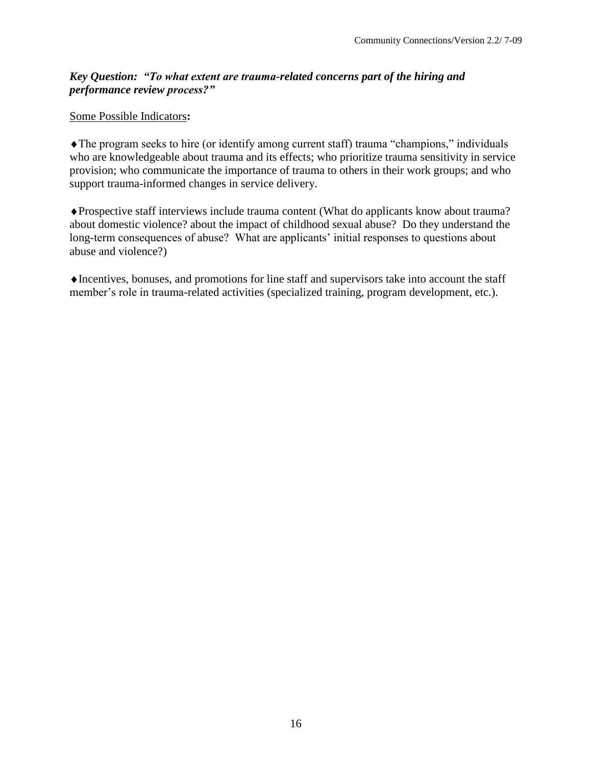### *Key Question: "To what extent are trauma-related concerns part of the hiring and performance review process?"*

#### Some Possible Indicators**:**

The program seeks to hire (or identify among current staff) trauma "champions," individuals who are knowledgeable about trauma and its effects; who prioritize trauma sensitivity in service provision; who communicate the importance of trauma to others in their work groups; and who support trauma-informed changes in service delivery.

Prospective staff interviews include trauma content (What do applicants know about trauma? about domestic violence? about the impact of childhood sexual abuse? Do they understand the long-term consequences of abuse? What are applicants' initial responses to questions about abuse and violence?)

Incentives, bonuses, and promotions for line staff and supervisors take into account the staff member's role in trauma-related activities (specialized training, program development, etc.).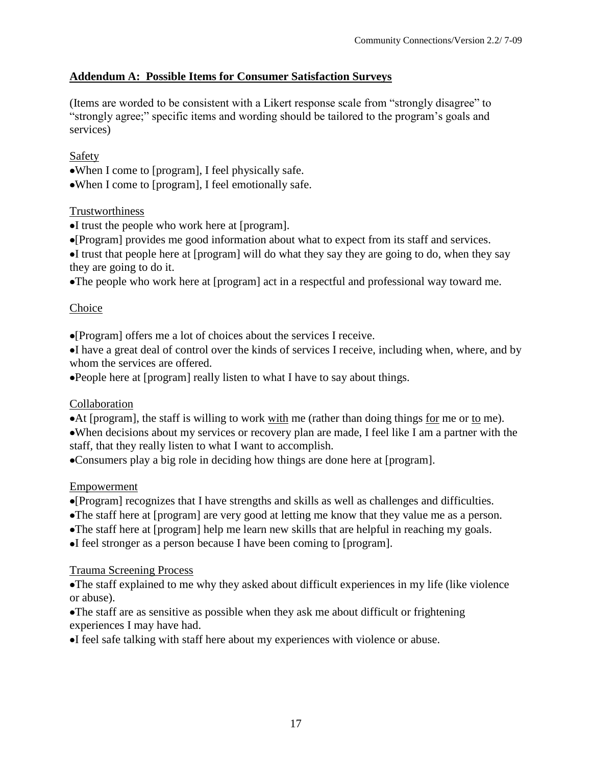# **Addendum A: Possible Items for Consumer Satisfaction Surveys**

(Items are worded to be consistent with a Likert response scale from "strongly disagree" to "strongly agree;" specific items and wording should be tailored to the program's goals and services)

### Safety

When I come to [program], I feel physically safe.

When I come to [program], I feel emotionally safe.

### **Trustworthiness**

- I trust the people who work here at [program].
- [Program] provides me good information about what to expect from its staff and services.

I trust that people here at [program] will do what they say they are going to do, when they say they are going to do it.

The people who work here at [program] act in a respectful and professional way toward me.

## Choice

[Program] offers me a lot of choices about the services I receive.

I have a great deal of control over the kinds of services I receive, including when, where, and by whom the services are offered.

•People here at [program] really listen to what I have to say about things.

### **Collaboration**

At [program], the staff is willing to work with me (rather than doing things for me or to me). When decisions about my services or recovery plan are made, I feel like I am a partner with the staff, that they really listen to what I want to accomplish.

Consumers play a big role in deciding how things are done here at [program].

### Empowerment

[Program] recognizes that I have strengths and skills as well as challenges and difficulties.

- The staff here at [program] are very good at letting me know that they value me as a person.
- The staff here at [program] help me learn new skills that are helpful in reaching my goals.
- I feel stronger as a person because I have been coming to [program].

### Trauma Screening Process

The staff explained to me why they asked about difficult experiences in my life (like violence or abuse).

The staff are as sensitive as possible when they ask me about difficult or frightening experiences I may have had.

I feel safe talking with staff here about my experiences with violence or abuse.